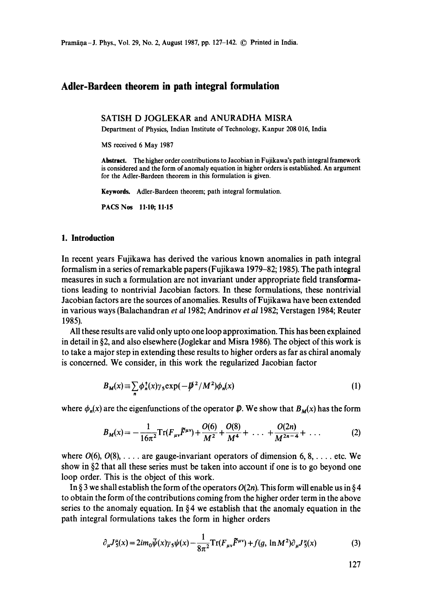# **Adler-Bardeen theorem in path integral formulation**

**SATISH D JOGLEKAR and ANURADHA** MISRA

Department of Physics, Indian Institute of Technology, Kanpur 208 016, India

MS received 6 May 1987

**Abstract.** The higher order contributions to Jacobian in Fujikawa's path integral framework is considered and the form of anomaly equation in higher orders is established. An argument for the Adler-Bardeen theorem in this formulation is given.

Keywords. Adler-Bardeen theorem; path integral formulation.

PACS Nos 11.10; 11-15

# **1. Introduction**

In recent years Fujikawa has derived the various known anomalies in path integral formalism in a series of remarkable papers (Fujikawa 1979-82; 1985). The path integral measures in such a formulation are not invariant under appropriate field transformations leading to nontrivial Jacobian factors. In these formulations, these nontrivial Jacobian factors are the sources of anomalies. Results of Fujikawa have been extended in various ways (Balachandran *et a11982;* Andrinov *et a11982;* Verstagen 1984; Reuter 1985).

All these results are valid only upto one loop approximation. This has been explained in detail in §2, and also elsewhere (Joglekar and Misra 1986). The object of this work is to take a major step in extending these results to higher orders as far as chiral anomaly is concerned. We consider, in this work the regularized Jacobian factor

$$
B_M(x) \equiv \sum_n \phi_n^{\dagger}(x) \gamma_5 \exp(-\not\!\!D^2/M^2) \phi_n(x) \tag{1}
$$

where  $\phi_n(x)$  are the eigenfunctions of the operator  $\rlap{\,/}D$ . We show that  $B_M(x)$  has the form

$$
B_M(x) = -\frac{1}{16\pi^2} \text{Tr}(F_{\mu\nu}\tilde{F}^{\mu\nu}) + \frac{O(6)}{M^2} + \frac{O(8)}{M^4} + \dots + \frac{O(2n)}{M^{2n-4}} + \dots \tag{2}
$$

where  $O(6)$ ,  $O(8)$ , ... are gauge-invariant operators of dimension 6, 8, ... etc. We show in §2 that all these series must be taken into account if one is to go beyond one loop order. This is the object of this work.

In § 3 we shall establish the form of the operators  $O(2n)$ . This form will enable us in § 4 to obtain the form of the contributions coming from the higher order term in the above series to the anomaly equation. In  $\S 4$  we establish that the anomaly equation in the path integral formulations takes the form in higher orders

$$
\partial_{\mu} J_{5}^{\mu}(x) = 2im_{0}\bar{\psi}(x)\gamma_{5}\psi(x) - \frac{1}{8\pi^{2}}\text{Tr}(F_{\mu\nu}\tilde{F}^{\mu\nu}) + f(g, \ln M^{2})\partial_{\mu} J_{5}^{\mu}(x)
$$
(3)

127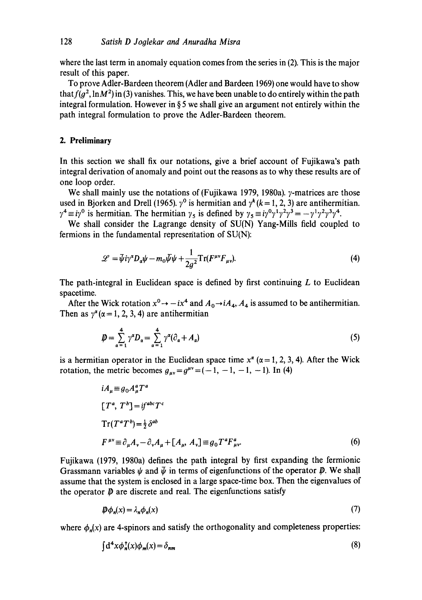where the last term in anomaly equation comes from the series in (2). This is the major result of this paper.

To prove Adler-Bardeen theorem (Adler and Bardeen 1969) one would have to show that  $f(g^2, \ln M^2)$  in (3) vanishes. This, we have been unable to do entirely within the path integral formulation. However in § 5 we shall give an argument not entirely within the path integral formulation to prove the Adler-Bardeen theorem.

### **2. Preliminary**

In this section we shall fix our notations, give a brief account of Fujikawa's path integral derivation of anomaly and point out the reasons as to why these results are of one loop order.

We shall mainly use the notations of (Fujikawa 1979, 1980a).  $\gamma$ -matrices are those used in Bjorken and Drell (1965).  $\gamma^0$  is hermitian and  $\gamma^k (k = 1, 2, 3)$  are antihermitian.  $\gamma^4 \equiv i\gamma^0$  is hermitian. The hermitian  $\gamma_5$  is defined by  $\gamma_5 \equiv i\gamma^0\gamma^1\gamma^2\gamma^3 = -\gamma^1\gamma^2\gamma^3\gamma^4$ .

We shall consider the Lagrange density of SU(N) Yang-Mills field coupled to fermions in the fundamental representation of SU(N):

$$
\mathcal{L} = \bar{\psi} i\gamma^{\alpha} D_{\alpha} \psi - m_0 \bar{\psi} \psi + \frac{1}{2g^2} \text{Tr}(F^{\mu \nu} F_{\mu \nu}).
$$
\n(4)

The path-integral in Euclidean space is defined by first continuing  $L$  to Euclidean spacetime.

After the Wick rotation  $x^0 \rightarrow -ix^4$  and  $A_0 \rightarrow iA_4$ ,  $A_4$  is assumed to be antihermitian. Then as  $y^{\alpha}$  ( $\alpha = 1, 2, 3, 4$ ) are antihermitian

$$
\mathbf{D} = \sum_{\alpha=1}^{4} \gamma^{\alpha} D_{\alpha} = \sum_{\alpha=1}^{4} \gamma^{\alpha} (\partial_{\alpha} + A_{\alpha})
$$
\n(5)

is a hermitian operator in the Euclidean space time  $x^{\alpha}$  ( $\alpha = 1, 2, 3, 4$ ). After the Wick rotation, the metric becomes  $g_{\mu\nu} = g^{\mu\nu} = (-1, -1, -1, -1)$ . In (4)

$$
iA_{\mu} \equiv g_0 A_{\mu}^a T^a
$$
  
\n
$$
[T^a, T^b] = i f^{abc} T^c
$$
  
\n
$$
Tr(T^a T^b) = \frac{1}{2} \delta^{ab}
$$
  
\n
$$
F^{\mu\nu} \equiv \partial_{\mu} A_{\nu} - \partial_{\nu} A_{\mu} + [A_{\mu}, A_{\nu}] \equiv g_0 T^a F^a_{\mu\nu}.
$$
\n(6)

Fujikawa (1979, 1980a) defines the path integral by first expanding the fermionic Grassmann variables  $\psi$  and  $\bar{\psi}$  in terms of eigenfunctions of the operator  $\bar{\psi}$ . We shall assume that the system is enclosed in a large space-time box. Then the eigenvalues of the operator  $\mathbf{\mathcal{P}}$  are discrete and real. The eigenfunctions satisfy

$$
\mathbf{D}\phi_n(x) = \lambda_n \phi_n(x) \tag{7}
$$

where  $\phi_n(x)$  are 4-spinors and satisfy the orthogonality and completeness properties:

$$
\int d^4x \phi_n^{\dagger}(x)\phi_m(x) = \delta_{nm} \tag{8}
$$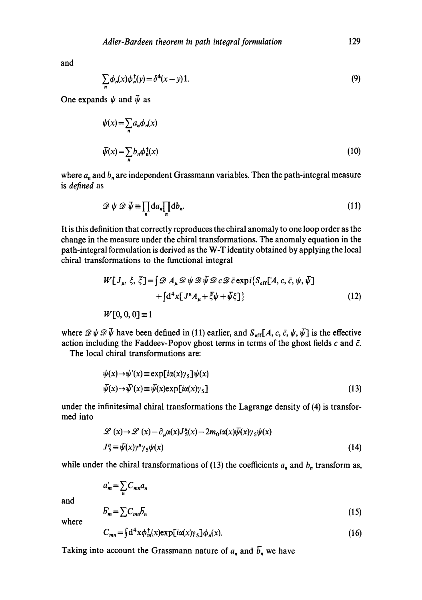and

$$
\sum_{n} \phi_n(x) \phi_n^+(y) = \delta^4(x - y) \mathbf{1}.
$$
\n(9)

One expands  $\psi$  and  $\bar{\psi}$  as

$$
\psi(x) = \sum_{n} a_n \phi_n(x)
$$
  

$$
\bar{\psi}(x) = \sum_{n} b_n \phi_n^{\dagger}(x)
$$
 (10)

where  $a_n$  and  $b_n$  are independent Grassmann variables. Then the path-integral measure is *defined* as

$$
\mathscr{D}\psi\,\mathscr{D}\,\overline{\psi}\equiv\prod_{n}da_{n}\prod_{n}db_{n}.\tag{11}
$$

It is this definition that correctly reproduces the chiral anomaly to one loop order as the change in the measure under the chiral transformations. The anomaly equation in the path-integral formulation is derived as the W-T identity obtained by applying the local chiral transformations to the functional integral

$$
W[J_{\mu}, \xi, \overline{\xi}] = \int \mathcal{D} A_{\mu} \mathcal{D} \psi \mathcal{D} \psi \mathcal{D} c \mathcal{D} \bar{c} \exp i \{ S_{\text{eff}}[A, c, \bar{c}, \psi, \bar{\psi}] + \int d^4 x [J^{\mu} A_{\mu} + \overline{\xi} \psi + \overline{\psi} \xi] \}
$$
(12)  

$$
W[0, 0, 0] = 1
$$

where  $\mathscr{D}\psi \mathscr{D}\bar{\psi}$  have been defined in (11) earlier, and  $S_{\text{eff}}[A, c, \bar{c}, \psi, \bar{\psi}]$  is the effective action including the Faddeev-Popov ghost terms in terms of the ghost fields c and  $\bar{c}$ .

The local chiral transformations are:

$$
\psi(x) \to \psi'(x) \equiv \exp[i\alpha(x)\gamma_5] \psi(x)
$$
  

$$
\bar{\psi}(x) \to \bar{\psi}'(x) \equiv \bar{\psi}(x) \exp[i\alpha(x)\gamma_5]
$$
 (13)

under the infinitesimal chiral transformations the Lagrange density of (4) is transformed into

$$
\mathcal{L}(x) \to \mathcal{L}(x) - \partial_{\mu} \alpha(x) J_{5}^{\mu}(x) - 2m_{0} i\alpha(x) \bar{\psi}(x) \gamma_{5} \psi(x)
$$
  

$$
J_{5}^{\mu} \equiv \bar{\psi}(x) \gamma^{\mu} \gamma_{5} \psi(x)
$$
 (14)

while under the chiral transformations of (13) the coefficients  $a_n$  and  $b_n$  transform as,

$$
a'_m = \sum_n C_{mn} a_n
$$

and

where

$$
E'_{m} = \sum C_{mn} \overline{b}_{n} \tag{15}
$$

$$
C_{mn} = \int d^4x \phi_m^{\dagger}(x) \exp[i\alpha(x)\gamma_5] \phi_n(x). \tag{16}
$$

Taking into account the Grassmann nature of  $a_n$  and  $\overline{b}_n$  we have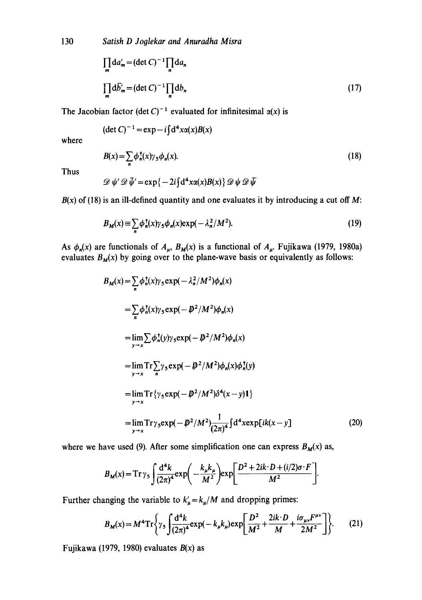130 *Satish D Joglekar and Anuradha Misra* 

$$
\prod_{m} da'_{m} = (\det C)^{-1} \prod_{n} da_{n}
$$
  

$$
\prod_{m} d\overline{b'_{m}} = (\det C)^{-1} \prod_{n} db_{n}
$$
 (17)

The Jacobian factor (det C)<sup>-1</sup> evaluated for infinitesimal  $\alpha(x)$  is

$$
(\det C)^{-1} = \exp - i \int d^4x \alpha(x) B(x)
$$

where

Thus

$$
B(x) = \sum_{n} \phi_n^{\dagger}(x) \gamma_5 \phi_n(x).
$$
  

$$
\mathcal{D} \psi' \mathcal{D} \bar{\psi}' = \exp\{-2i \int d^4 x \alpha(x) B(x) \} \mathcal{D} \psi \mathcal{D} \bar{\psi}
$$
 (18)

 $B(x)$  of (18) is an ill-defined quantity and one evaluates it by introducing a cut off M:

$$
B_M(x) \equiv \sum_n \phi_n^{\dagger}(x) \gamma_5 \phi_n(x) \exp(-\lambda_n^2/M^2). \tag{19}
$$

As  $\phi_n(x)$  are functionals of  $A_\mu$ ,  $B_M(x)$  is a functional of  $A_\mu$ . Fujikawa (1979, 1980a) evaluates  $B_M(x)$  by going over to the plane-wave basis or equivalently as follows:

$$
B_M(x) = \sum_{n} \phi_n^{\dagger}(x) \gamma_5 \exp(-\lambda_n^2/M^2) \phi_n(x)
$$
  
\n
$$
= \sum_{n} \phi_n^{\dagger}(x) \gamma_5 \exp(-\mathcal{P}^2/M^2) \phi_n(x)
$$
  
\n
$$
= \lim_{y \to x} \sum \phi_n^{\dagger}(y) \gamma_5 \exp(-\mathcal{P}^2/M^2) \phi_n(x)
$$
  
\n
$$
= \lim_{y \to x} \text{Tr} \sum_{n} \gamma_5 \exp(-\mathcal{P}^2/M^2) \phi_n(x) \phi_n^{\dagger}(y)
$$
  
\n
$$
= \lim_{y \to x} \text{Tr} \{\gamma_5 \exp(-\mathcal{P}^2/M^2) \delta^4(x - y) \mathbf{1} \}
$$
  
\n
$$
= \lim_{y \to x} \text{Tr} \gamma_5 \exp(-\mathcal{P}^2/M^2) \frac{1}{(2\pi)^4} \int d^4 x \exp[i k(x - y)] \tag{20}
$$

where we have used (9). After some simplification one can express  $B_M(x)$  as,

$$
B_M(x) = \operatorname{Tr} \gamma_5 \int \frac{\mathrm{d}^4 k}{(2\pi)^4} \exp\left(-\frac{k_\mu k_\mu}{M^2}\right) \exp\left[\frac{D^2 + 2ik \cdot D + (i/2)\sigma \cdot F}{M^2}\right].
$$

Further changing the variable to  $k'_{\mu} = k_{\mu}/M$  and dropping primes:

$$
B_M(x) = M^4 \text{Tr} \left\{ \gamma_5 \int \frac{d^4 k}{(2\pi)^4} \exp(-k_\mu k_\mu) \exp\left[\frac{D^2}{M^2} + \frac{2ik \cdot D}{M} + \frac{i\sigma_\mu v F^{\mu\nu}}{2M^2}\right] \right\}.
$$
 (21)

Fujikawa (1979, 1980) evaluates *B(x)* as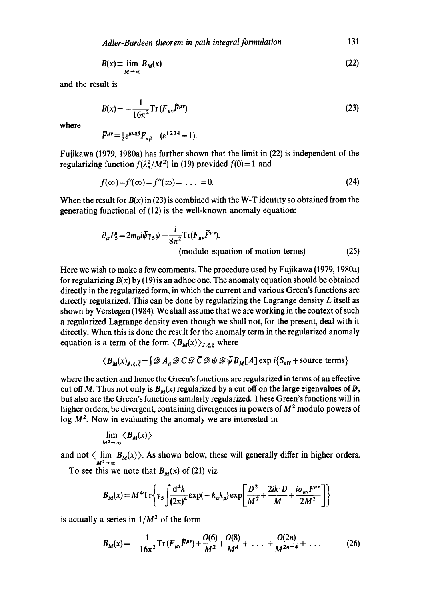*Adler-Bardeen theorem in path integral formulation* 131

$$
B(x) = \lim_{M \to \infty} B_M(x) \tag{22}
$$

and the result is

$$
B(x) = -\frac{1}{16\pi^2} \operatorname{Tr} \left( F_{\mu\nu} \tilde{F}^{\mu\nu} \right) \tag{23}
$$

where

$$
\widetilde{F}^{\mu\nu} \equiv \frac{1}{2} \varepsilon^{\mu\nu\alpha\beta} F_{\alpha\beta} \quad (\varepsilon^{1234} = 1).
$$

Fujikawa (1979, 1980a) has further shown that the limit in (22) is independent of the regularizing function  $f(\lambda_n^2/M^2)$  in (19) provided  $f(0)=1$  and

$$
f(\infty)=f'(\infty)=f''(\infty)=\ldots=0.
$$
\n(24)

When the result for  $B(x)$  in (23) is combined with the W-T identity so obtained from the generating functional of (12) is the well-known anomaly equation:

$$
\partial_{\mu} J_{5}^{\mu} = 2m_{0}i\bar{\psi}\gamma_{5}\psi - \frac{i}{8\pi^{2}} \text{Tr}(F_{\mu\nu}\tilde{F}^{\mu\nu}).
$$
\n(module equation of motion terms) (25)

Here we wish to make a few comments. The procedure used by Fujikawa (1979, 1980a) for regularizing  $B(x)$  by (19) is an adhoc one. The anomaly equation should be obtained directly in the regularized form, in which the current and various Green's functions are directly regularized. This can be done by regularizing the Lagrange density  $L$  itself as shown by Verstegen (1984). We shall assume that we are working in the context of such a regularized Lagrange density even though we shall not, for the present, deal with it directly. When this is done the result for the anomaly term in the regularized anomaly equation is a term of the form  $\langle B_M(x) \rangle_{J,\xi,\bar{\xi}}$  where

$$
\langle B_{\mathbf{M}}(x)_{J,\xi,\overline{\xi}} = \int \mathscr{D} A_{\mu} \mathscr{D} C \mathscr{D} \overline{C} \mathscr{D} \psi \mathscr{D} \overline{\psi} B_{\mathbf{M}}[A] \exp i \{ S_{\text{eff}} + \text{source terms} \}
$$

where the action and hence the Green's functions are regularized in terms of an effective cut off M. Thus not only is  $B_M(x)$  regularized by a cut off on the large eigenvalues of  $\rlap{\,/}D$ , but also are the Green's functions similarly regularized. These Green's functions will in higher orders, be divergent, containing divergences in powers of  $M<sup>2</sup>$  modulo powers of  $log M<sup>2</sup>$ . Now in evaluating the anomaly we are interested in

$$
\lim_{M^2\to\infty}\langle B_M(x)\rangle
$$

and not  $\langle \lim B_M(x) \rangle$ . As shown below, these will generally differ in higher orders.  $M^2\rightarrow\infty$ 

To see this we note that  $B_M(x)$  of (21) viz

$$
B_M(x) = M^4 \text{Tr} \left\{ \gamma_5 \int \frac{\mathrm{d}^4 k}{(2\pi)^4} \exp(-k_\mu k_\mu) \exp \left[ \frac{D^2}{M^2} + \frac{2ik \cdot D}{M} + \frac{i \sigma_{\mu\nu} F^{\mu\nu}}{2M^2} \right] \right\}
$$

is actually a series in  $1/M^2$  of the form

$$
B_M(x) = -\frac{1}{16\pi^2} \operatorname{Tr} \left( F_{\mu\nu} \tilde{F}^{\mu\nu} \right) + \frac{O(6)}{M^2} + \frac{O(8)}{M^4} + \dots + \frac{O(2n)}{M^{2n-4}} + \dots \tag{26}
$$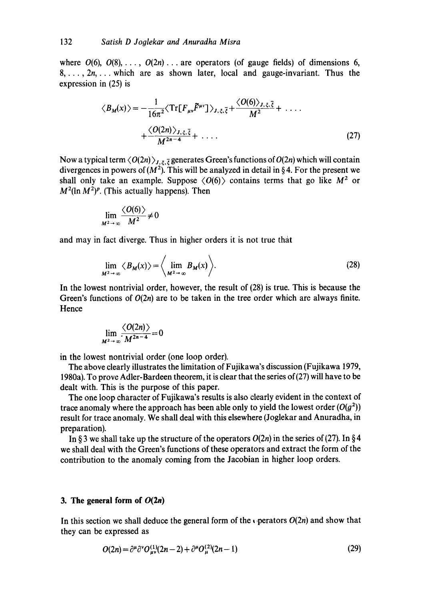where  $O(6)$ ,  $O(8)$ , ...,  $O(2n)$ ... are operators (of gauge fields) of dimensions 6,  $8, \ldots, 2n, \ldots$  which are as shown later, local and gauge-invariant. Thus the expression in (25) is

$$
\langle B_M(x) \rangle = -\frac{1}{16\pi^2} \langle \operatorname{Tr} [F_{\mu\nu} \tilde{F}^{\mu\nu}] \rangle_{J,\xi,\bar{\xi}} + \frac{\langle O(6) \rangle_{J,\xi,\bar{\xi}}}{M^2} + \dots
$$
  
+ 
$$
\frac{\langle O(2n) \rangle_{J,\xi,\bar{\xi}}}{M^{2n-4}} + \dots
$$
 (27)

Now a typical term  $\langle O(2n)\rangle_{J,\xi,\bar{\xi}}$  generates Green's functions of  $O(2n)$  which will contain divergences in powers of  $(M^2)$ . This will be analyzed in detail in §4. For the present we shall only take an example. Suppose  $\langle 0(6) \rangle$  contains terms that go like  $M^2$  or  $M^2(\ln M^2)^p$ . (This actually happens). Then

$$
\lim_{M^2\to\infty}\frac{\langle O(6)\rangle}{M^2}\neq 0
$$

and may in fact diverge. Thus in higher orders it is not true that

$$
\lim_{M^2 \to \infty} \langle B_M(x) \rangle = \left\langle \lim_{M^2 \to \infty} B_M(x) \right\rangle.
$$
 (28)

In the lowest nontrivial order, however, the result of (28) is true. This is because the Green's functions of  $O(2n)$  are to be taken in the tree order which are always finite. Hence

$$
\lim_{M^2\to\infty}\frac{\langle O(2n)\rangle}{M^{2n-4}}=0
$$

in the lowest nontrivial order (one loop order).

The above clearly illustrates the limitation of Fujikawa's discussion (Fujikawa 1979, 1980a). To prove Adler-Bardeen theorem, it is clear that the series of(27) will have to be dealt with. This is the purpose of this paper.

The one loop character of Fujikawa's results is also clearly evident in the context of trace anomaly where the approach has been able only to yield the lowest order  $(O(g^2))$ result for trace anomaly. We shall deal with this elsewhere (Joglekar and Anuradha, in preparation).

In § 3 we shall take up the structure of the operators  $O(2n)$  in the series of (27). In § 4 we shall deal with the Green's functions of these operators and extract the form of the contribution to the anomaly coming from the Jacobian in higher loop orders.

# **3. The general form of**  $O(2n)$

In this section we shall deduce the general form of the  $\epsilon$  perators  $O(2n)$  and show that they can be expressed as

$$
O(2n) = \partial^{\mu} \partial^{\nu} O_{\mu\nu}^{(1)}(2n-2) + \partial^{\mu} O_{\mu}^{(2)}(2n-1)
$$
 (29)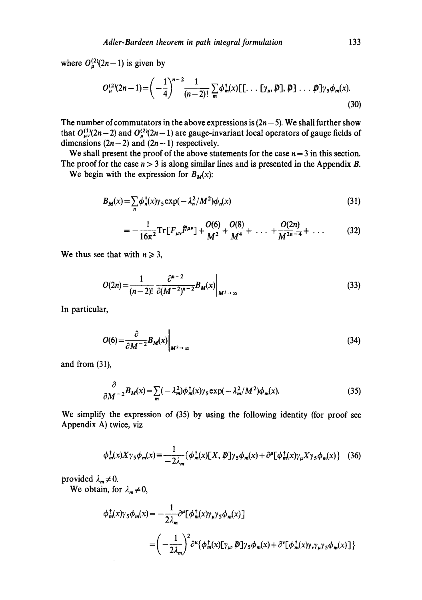where  $O_{\mu}^{(2)}(2n-1)$  is given by

$$
O_{\mu}^{(2)}(2n-1) = \left(-\frac{1}{4}\right)^{n-2} \frac{1}{(n-2)!} \sum_{m} \phi_{m}^{\dagger}(x) \left[ \left[ \dots \left[ \gamma_{\mu}, \not{D} \right], \not{D} \right] \dots \not{D} \right] \gamma_{5} \phi_{m}(x). \tag{30}
$$

The number of commutators in the above expressions is  $(2n-5)$ . We shall further show that  $O_{\mu\nu}^{(1)}(2n-2)$  and  $O_{\mu}^{(2)}(2n-1)$  are gauge-invariant local operators of gauge fields of dimensions  $(2n-2)$  and  $(2n-1)$  respectively.

We shall present the proof of the above statements for the case  $n = 3$  in this section. The proof for the case  $n > 3$  is along similar lines and is presented in the Appendix B.

We begin with the expression for  $B_M(x)$ :

$$
B_M(x) = \sum_{n} \phi_n^{\dagger}(x) \gamma_5 \exp(-\lambda_n^2/M^2) \phi_n(x)
$$
\n(31)

$$
= -\frac{1}{16\pi^2} \mathrm{Tr} \left[ F_{\mu\nu} \tilde{F}^{\mu\nu} \right] + \frac{O(6)}{M^2} + \frac{O(8)}{M^4} + \ldots + \frac{O(2n)}{M^{2n-4}} + \ldots \tag{32}
$$

We thus see that with  $n \geq 3$ ,

$$
O(2n) = \frac{1}{(n-2)!} \left. \frac{\partial^{n-2}}{\partial (M^{-2})^{n-2}} B_M(x) \right|_{M^2 \to \infty}
$$
 (33)

In particular,

$$
O(6) = \frac{\partial}{\partial M^{-2}} B_M(x) \bigg|_{M^2 \to \infty} \tag{34}
$$

and from (31),

$$
\frac{\partial}{\partial M^{-2}}B_M(x) = \sum_m (-\lambda_m^2) \phi_m^{\dagger}(x) \gamma_5 \exp(-\lambda_m^2/M^2) \phi_m(x). \tag{35}
$$

We simplify the expression of (35) by using the following identity (for proof see Appendix A) twice, viz

$$
\phi_m^{\dagger}(x)X\gamma_5\phi_m(x) \equiv \frac{1}{-2\lambda_m} \{ \phi_m^{\dagger}(x)[X,\not{D}]\gamma_5\phi_m(x) + \partial^{\mu}[\phi_m^{\dagger}(x)\gamma_{\mu}X\gamma_5\phi_m(x) \} \quad (36)
$$

provided  $\lambda_m \neq 0$ .

We obtain, for  $\lambda_m \neq 0$ ,

$$
\phi_m^{\dagger}(x)\gamma_5 \phi_m(x) = -\frac{1}{2\lambda_m} \partial^{\mu} [\phi_m^{\dagger}(x)\gamma_{\mu}\gamma_5 \phi_m(x)]
$$
  
= 
$$
\left(-\frac{1}{2\lambda_m}\right)^2 \partial^{\mu} {\phi_m^{\dagger}(x)[\gamma_{\mu}, \mathcal{P}]\gamma_5 \phi_m(x)} + \partial^{\nu} [\phi_m^{\dagger}(x)\gamma_{\nu}\gamma_{\mu}\gamma_5 \phi_m(x)] }
$$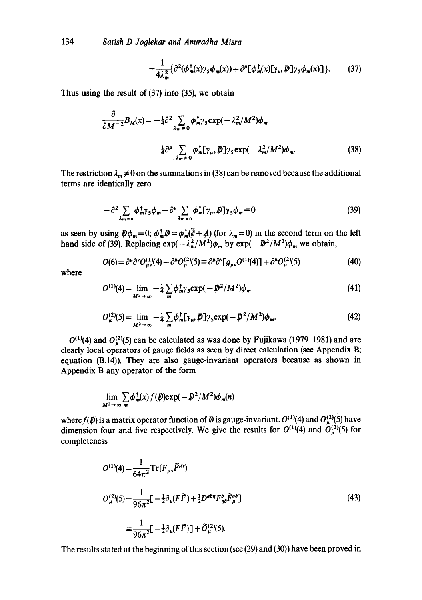134 *Satish D Joolekar and Anuradha Misra* 

$$
=\frac{1}{4\lambda_m^2}\{\partial^2(\phi_m^{\dagger}(x)\gamma_5\phi_m(x))+\partial^{\mu}[\phi_m^{\dagger}(x)[\gamma_{\mu},\bar{\psi}]\gamma_5\phi_m(x)]\}.\tag{37}
$$

Thus using the result of (37) into (35), we obtain

$$
\frac{\partial}{\partial M^{-2}}B_M(x) = -\frac{1}{4}\partial^2 \sum_{\lambda_m \neq 0} \phi_m^{\dagger} \gamma_5 \exp(-\lambda_m^2/M^2) \phi_m
$$

$$
-\frac{1}{4}\partial^\mu \sum_{\lambda_m \neq 0} \phi_m^{\dagger} [\gamma_\mu, \not{D}] \gamma_5 \exp(-\lambda_m^2/M^2) \phi_m. \tag{38}
$$

The restriction  $\lambda_m \neq 0$  on the summations in (38) can be removed because the additional terms are identically zero

$$
-\partial^2 \sum_{\lambda_{m=0}} \phi_m^{\dagger} \gamma_5 \phi_m - \partial^\mu \sum_{\lambda_{m=0}} \phi_m^{\dagger} [\gamma_\mu, \mathcal{P}] \gamma_5 \phi_m \equiv 0 \tag{39}
$$

as seen by using  $\mathcal{D}\phi_m=0$ ;  $\phi_m^T\mathcal{D}=\phi_m^T(\hat{\theta}+A)$  (for  $\lambda_m=0$ ) in the second term on the left hand side of (39). Replacing  $\exp(-\lambda_m^2/M^2)\phi_m$  by  $\exp(-\frac{p^2}{M^2})\phi_m$  we obtain,

$$
O(6) = \partial^{\mu} \partial^{\nu} O_{\mu\nu}^{(1)}(4) + \partial^{\mu} O_{\mu}^{(2)}(5) \equiv \partial^{\mu} \partial^{\nu} [g_{\mu\nu} O^{(1)}(4)] + \partial^{\mu} O_{\mu}^{(2)}(5)
$$
(40)

where

$$
O^{(1)}(4) = \lim_{M^2 \to \infty} -\frac{1}{4} \sum_{m} \phi_{m}^{\dagger} \gamma_5 \exp(-\rlap{\,/}D^2/M^2) \phi_m \tag{41}
$$

$$
O_{\mu}^{(2)}(5) = \lim_{M^2 \to \infty} -\frac{1}{4} \sum_{m} \phi_{m}^{\dagger} [\gamma_{\mu}, \mathcal{P}] \gamma_{5} \exp(-\mathcal{P}^{2}/M^{2}) \phi_{m}.
$$
 (42)

 $O^{(1)}(4)$  and  $O^{(2)}_u(5)$  can be calculated as was done by Fujikawa (1979–1981) and are clearly local operators of gauge fields as seen by direct calculation (see Appendix B; equation (B.14)). They are also gauge-invariant operators because as shown in Appendix B any operator of the form

$$
\lim_{M^2\to\infty}\sum_{m}\phi_m^{\dagger}(x)f(\boldsymbol{\psi})\exp(-\boldsymbol{\psi}^2/M^2)\phi_m(n)
$$

where  $f(\bm{\psi})$  is a matrix operator function of  $\bm{\psi}$  is gauge-invariant.  $O^{(1)}(4)$  and  $O^{(2)}_{\mu}$ (5) have dimension four and five respectively. We give the results for  $O^{(1)}(4)$  and  $O^{(2)}_{\mu}$ (5) for completeness

$$
O^{(1)}(4) = \frac{1}{64\pi^2} \text{Tr}(F_{\mu\nu}\tilde{F}^{\mu\nu})
$$
  
\n
$$
O^{(2)}_{\mu}(5) = \frac{1}{96\pi^2} \left[-\frac{1}{2}\partial_{\mu}(F\tilde{F}) + \frac{1}{2}D^{ab\eta}F^b_{\eta\delta}\tilde{F}^{ab}_{\mu}\right]
$$
  
\n
$$
= \frac{1}{96\pi^2} \left[-\frac{1}{2}\partial_{\mu}(F\tilde{F})\right] + \tilde{O}^{(2)}_{\mu}(5).
$$
\n(43)

The results stated at the beginning of this section (see (29) and (30)) have been proved in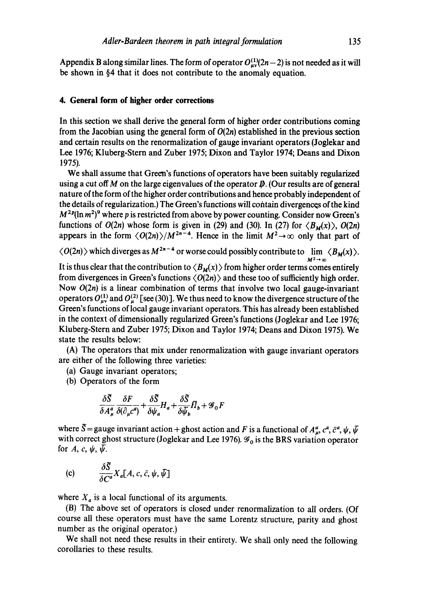Appendix B along similar lines. The form of operator  $O_{uv}^{(1)}(2n-2)$  is not needed as it will be shown in §4 that it does not contribute to the anomaly equation.

# **4. General form of higher order corrections**

In this section we shall derive the general form of higher order contributions coming from the Jacobian using the general form of  $O(2n)$  established in the previous section and certain results on the renormalization of gauge invariant operators (Joglekar and Lee 1976; Kluberg-Stern and Zuber 1975; Dixon and Taylor 1974; Deans and Dixon 1975).

We shall assume that Green's functions of operators have been suitably regularized using a cut off M on the large eigenvalues of the operator  $\mathbf{\vec{p}}$ . (Our results are of general nature of the form of the higher order contributions and hence probably independent of the details of regularization.) The Green's functions will cohtain divergences of the kind  $M^{2p}(\ln m^2)^9$  where p is restricted from above by power counting. Consider now Green's functions of  $O(2n)$  whose form is given in (29) and (30). In (27) for  $\langle B_M(x) \rangle$ ,  $O(2n)$ appears in the form  $\langle O(2n)\rangle/M^{2n-4}$ . Hence in the limit  $M^2\rightarrow\infty$  only that part of

 $\langle O(2n) \rangle$  which diverges as  $M^{2n-4}$  or worse could possibly contribute to  $\lim_{M \to \infty} \langle B_M(x) \rangle$ .  $M^2\!\to\!\infty$ 

It is thus clear that the contribution to  $\langle B_M(x) \rangle$  from higher order terms comes entirely from divergences in Green's functions  $\langle O(2n) \rangle$  and these too of sufficiently high order. Now  $O(2n)$  is a linear combination of terms that involve two local gauge-invariant operators  $O_{uv}^{(1)}$  and  $O_{u}^{(2)}$  [see (30)]. We thus need to know the divergence structure of the Green's functions of local gauge invariant operators. This has already been established in the context of dimensionally regularized Green's functions (Joglekar and Lee 1976; Kluberg-Stern and Zuber 1975; Dixon and Taylor 1974; Deans and Dixon 1975). We state the results below:

(A) The operators that mix under renormalization with gauge invariant operators are either of the following three varieties:

- (a) Gauge invariant operators;
- (b) Operators of the form

$$
\frac{\delta \tilde{S}}{\delta A^a_\mu} \frac{\delta F}{\delta (\partial_\mu c^a)} + \frac{\delta \tilde{S}}{\delta \psi_a} H_a + \frac{\delta \tilde{S}}{\delta \tilde{\psi}_b} \overline{H}_b + \mathscr{G}_0 F
$$

where  $\tilde{S}$  = gauge invariant action + ghost action and F is a functional of  $A_{\mu}^a$ ,  $c^a$ ,  $\bar{c}^a$ ,  $\psi$ ,  $\bar{\psi}$ with correct ghost structure (Joglekar and Lee 1976).  $\mathcal{G}_0$  is the BRS variation operator for A, c,  $\psi$ ,  $\bar{\psi}$ .

(c) 
$$
\frac{\delta \vec{S}}{\delta C^a} X_a[A, c, \bar{c}, \psi, \bar{\psi}]
$$

where  $X_a$  is a local functional of its arguments.

(B) The above set of operators is closed under renormalization to all orders. (Of course all these operators must have the same Lorentz structure, parity and ghost number as the original operator.)

We shall not need these results in their entirety. We shall only need the following corollaries to these results.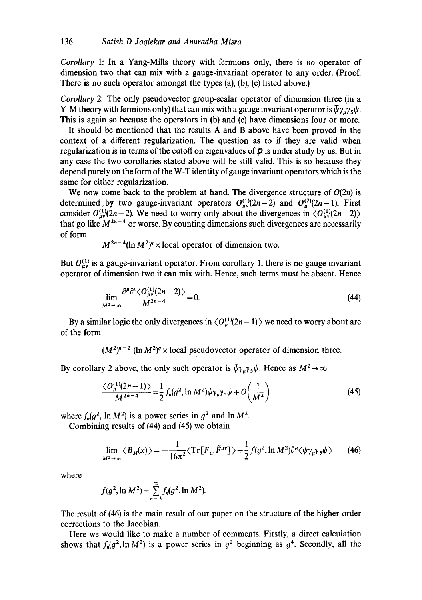*Corollary* 1: In a Yang-Mills theory with fermions only, there is *no* operator of dimension two that can mix with a gauge-invariant operator to any order. (Proof: There is no such operator amongst the types (a), (b), (c) listed above.)

*Corollary* 2: The only pseudovector group-scalar operator of dimension three (in a Y-M theory with fermions only) that can mix with a gauge invariant operator is  $\bar{\psi}\gamma_{u}\gamma_{5}\psi$ . This is again so because the operators in (b) and (c) have dimensions four or more.

It should be mentioned that the results A and B above have been proved in the context of a different regularization. The question as to if they are valid when regularization is in terms of the cutoff on eigenvalues of  $\bar{p}$  is under study by us. But in any case the two corollaries stated above will be still valid. This is so because they depend purely on the form of the W-T identity of gauge invariant operators which is the same for either regularization.

We now come back to the problem at hand. The divergence structure of  $O(2n)$  is determined by two gauge-invariant operators  $O_{\mu\nu}^{(1)}(2n-2)$  and  $O_{\mu}^{(2)}(2n-1)$ . First consider  $O_{\mu\nu}^{(1)}(2n-2)$ . We need to worry only about the divergences in  $\langle O_{\mu\nu}^{(1)}(2n-2)\rangle$ that go like  $M^{2n-4}$  or worse. By counting dimensions such divergences are necessarily of form

$$
M^{2n-4}(\ln M^2)^q \times \text{local operator of dimension two.}
$$

But  $O_{\mu\nu}^{(1)}$  is a gauge-invariant operator. From corollary 1, there is no gauge invariant operator of dimension two it can mix with. Hence, such terms must be absent. Hence

$$
\lim_{M^2 \to \infty} \frac{\partial^{\mu} \partial^{\nu} \langle O_{\mu\nu}^{(1)}(2n-2) \rangle}{M^{2n-4}} = 0.
$$
\n(44)

By a similar logic the only divergences in  $\langle O_{\mu}^{(1)}(2n-1)\rangle$  we need to worry about are of the form

 $(M^2)^{n-2}$  (ln  $M^2$ )<sup> $q$ </sup> x local pseudovector operator of dimension three.

By corollary 2 above, the only such operator is  $\bar{\psi}\gamma_{\mu}\gamma_{5}\psi$ . Hence as  $M^{2}\rightarrow\infty$ 

$$
\frac{\langle O_{\mu}^{(1)}(2n-1)\rangle}{M^{2n-4}} = \frac{1}{2} f_n(g^2, \ln M^2) \bar{\psi} \gamma_{\mu} \gamma_5 \psi + O\left(\frac{1}{M^2}\right)
$$
(45)

where  $f_n(q^2, \ln M^2)$  is a power series in  $q^2$  and  $\ln M^2$ .

Combining results of (44) and (45) we obtain

$$
\lim_{M^2 \to \infty} \langle B_M(x) \rangle = -\frac{1}{16\pi^2} \langle \operatorname{Tr} [F_{\mu\nu} \tilde{F}^{\mu\nu}] \rangle + \frac{1}{2} f(g^2, \ln M^2) \partial^{\mu} \langle \bar{\psi} \gamma_{\mu} \gamma_5 \psi \rangle \tag{46}
$$

where

$$
f(g^2, \ln M^2) = \sum_{n=3}^{\infty} f_n(g^2, \ln M^2).
$$

The result of (46) is the main result of our paper on the structure of the higher order corrections to the Jacobian.

Here we would like to make a number of comments. Firstly, a direct calculation shows that  $f_n(g^2, \ln M^2)$  is a power series in  $g^2$  beginning as  $g^4$ . Secondly, all the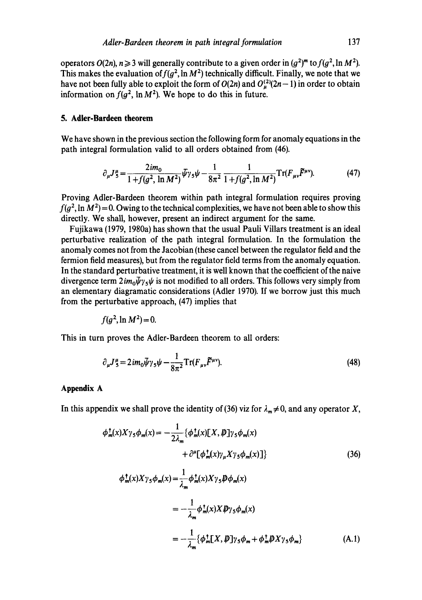operators  $O(2n)$ ,  $n \ge 3$  will generally contribute to a given order in  $\left(\frac{q^2}{m}\right)$  to  $f(q^2, \ln M^2)$ . This makes the evaluation of  $f(g^2, \ln M^2)$  technically difficult. Finally, we note that we have not been fully able to exploit the form of  $O(2n)$  and  $O_{\mu}^{(2)}(2n-1)$  in order to obtain information on  $f(g^2, \ln M^2)$ . We hope to do this in future.

#### **5. Adler-Bardeen theorem**

We have shown in the previous section the following form for anomaly equations in the path integral formulation valid to all orders obtained from (46).

$$
\partial_{\mu}J_{5}^{\mu} = \frac{2im_{0}}{1 + f(g^{2}, \ln M^{2})}\bar{\psi}\gamma_{5}\psi - \frac{1}{8\pi^{2}}\frac{1}{1 + f(g^{2}, \ln M^{2})}\mathrm{Tr}(F_{\mu\nu}\tilde{F}^{\mu\nu}).
$$
 (47)

Proving Adler-Bardeen theorem within path integral formulation requires proving  $f(a^2, \ln M^2) = 0$ . Owing to the technical complexities, we have not been able to show this directly. We shall, however, present an indirect argument for the same.

Fujikawa (1979, 1980a) has shown that the usual Pauli Villars treatment is an ideal perturbative realization of the path integral formulation. In the formulation the anomaly comes not from the Jacobian (these cancel between the regulator field and the fermion field measures), but from the regulator field terms from the anomaly equation. In the standard perturbative treatment, it is well known that the coefficient of the naive divergence term  $2im_0\psi\gamma_5\psi$  is not modified to all orders. This follows very simply from an elementary diagramatic considerations (Adler 1970). If we borrow just this much from the perturbative approach, (47) implies that

$$
f(g^2,\ln M^2)=0.
$$

This in turn proves the Adler-Bardeen theorem to all orders:

$$
\partial_{\mu}J_{5}^{\mu} = 2im_{0}\bar{\psi}\gamma_{5}\psi - \frac{1}{8\pi^{2}}\mathrm{Tr}(F_{\mu\nu}\tilde{F}^{\mu\nu}).
$$
\n(48)

### **Appendix A**

In this appendix we shall prove the identity of (36) viz for  $\lambda_m \neq 0$ , and any operator X,

$$
\phi_m^{\dagger}(x)X\gamma_5\phi_m(x) = -\frac{1}{2\lambda_m} \{\phi_m^{\dagger}(x)[X,\mathcal{P}]\gamma_5\phi_m(x) \n+ \partial^{\mu}[\phi_m^{\dagger}(x)\gamma_{\mu}X\gamma_5\phi_m(x)]\} \tag{36}
$$
\n
$$
\phi_m^{\dagger}(x)X\gamma_5\phi_m(x) = \frac{1}{\lambda_m}\phi_m^{\dagger}(x)X\gamma_5\mathcal{P}\phi_m(x) \n= -\frac{1}{\lambda_m}\phi_m^{\dagger}(x)X\mathcal{P}\gamma_5\phi_m(x) \n= -\frac{1}{\lambda_m}\{\phi_m^{\dagger}[X,\mathcal{P}]\gamma_5\phi_m + \phi_m^{\dagger}\mathcal{P}X\gamma_5\phi_m\} \tag{A.1}
$$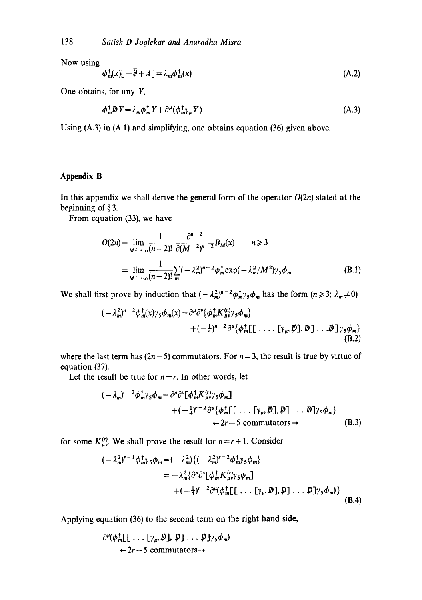Now using

$$
\phi_m^{\dagger}(x)[-\bar{\partial} + A] = \lambda_m \phi_m^{\dagger}(x) \tag{A.2}
$$

One obtains, for any Y,

$$
\phi_m^{\dagger} \psi Y = \lambda_m \phi_m^{\dagger} Y + \partial^{\mu} (\phi_m^{\dagger} \gamma_{\mu} Y) \tag{A.3}
$$

Using (A.3) in (A.l) and simplifying, one obtains equation (36) given above.

# **Appendix B**

In this appendix we shall derive the general form of the operator  $O(2n)$  stated at the beginning of § 3.

From equation (33), we have

$$
O(2n) = \lim_{M^2 \to \infty} \frac{1}{(n-2)!} \frac{\partial^{n-2}}{\partial (M^{-2})^{n-2}} B_M(x) \qquad n \geq 3
$$
  
= 
$$
\lim_{M^2 \to \infty} \frac{1}{(n-2)!} \sum_m (-\lambda_m^2)^{n-2} \phi_m^{\dagger} \exp(-\lambda_m^2 / M^2) \gamma_5 \phi_m.
$$
 (B.1)

We shall first prove by induction that  $(-\lambda_m^2)^{n-2} \phi_m^{\dagger} \phi_m$  has the form  $(n \geq 3; \lambda_m \neq 0)$ 

$$
(-\lambda_m^2)^{n-2}\phi_m^{\dagger}(x)\gamma_5\phi_m(x) = \partial^{\mu}\partial^{\nu}\{\phi_m^{\dagger}K_{\mu\nu}^{(n)}\gamma_5\phi_m\} + (-\frac{1}{4})^{n-2}\partial^{\mu}\{\phi_m^{\dagger}[\cdot \cdot \cdot \cdot [\gamma_{\mu}, \mathcal{P}], \mathcal{P}] \cdot \cdot \cdot \mathcal{P}]\gamma_5\phi_m\}
$$
(B.2)

where the last term has  $(2n-5)$  commutators. For  $n = 3$ , the result is true by virtue of equation (37).

Let the result be true for  $n = r$ . In other words, let

$$
(-\lambda_m)^{r-2}\phi_m^{\dagger}\gamma_5\phi_m = \partial^{\mu}\partial^{\nu}[\phi_m^{\dagger}K_{\mu\nu}^{(r)}\gamma_5\phi_m]
$$
  
 
$$
+(-\frac{1}{4})^{r-2}\partial^{\mu}\{\phi_m^{\dagger}[\lbrack\ldots\lbrack\gamma_{\mu},\mathcal{P}\rbrack,\mathcal{P}\rbrack\}\ldots\mathcal{P}\rbrack\gamma_5\phi_m\}
$$
  
(B.3)

for some  $K_{\mu\nu}^{(r)}$ . We shall prove the result for  $n=r+1$ . Consider

$$
\begin{split} (-\lambda_m^2)^{r-1} \phi_m^{\dagger} \gamma_5 \phi_m &= (-\lambda_m^2) \{ (-\lambda_m^2)^{r-2} \phi_m^{\dagger} \gamma_5 \phi_m \} \\ &= -\lambda_m^2 \{ \partial^\mu \partial^\nu [\phi_m^{\dagger} K_{\mu\nu}^{(\nu)} \gamma_5 \phi_m] \\ &+ (-\frac{1}{4})^{r-2} \partial^\mu (\phi_m^{\dagger} [\cdot \cdot \cdot [\gamma_\mu, \mathcal{P}], \mathcal{P}] \cdot \cdot \cdot \mathcal{P}] \gamma_5 \phi_m \} \end{split} \tag{B.4}
$$

Applying equation (36) to the second term on the right hand side,

$$
\frac{\partial^{\mu}(\phi_m^{\mathsf{T}}[[\dots[\gamma_{\mu},\mathcal{P}],\mathcal{P}]\dots\mathcal{P}]\gamma_5\phi_m)}{\leftarrow 2r-5 commutators \rightarrow}
$$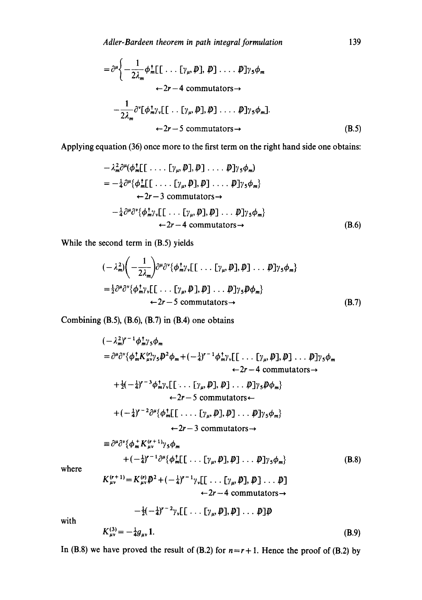$$
= \partial^{\mu} \Biggl\{ -\frac{1}{2\lambda_m} \phi_m^{\dagger} [\![\cdot \cdot \cdot [\gamma_{\mu}, p], p] \cdot \cdot \cdot \cdot p] \gamma_5 \phi_m
$$
  
\n
$$
\leftarrow 2r - 4 \text{ commutators} \rightarrow
$$
  
\n
$$
-\frac{1}{2\lambda_m} \partial^{\nu} [\phi_m^{\dagger} \gamma_{\nu} [\![\cdot \cdot [\gamma_{\mu}, p], p] \cdot \cdot \cdot p] \gamma_5 \phi_m].
$$
  
\n
$$
\leftarrow 2r - 5 \text{ commutators} \rightarrow
$$
 (B.5)

Applying equation (36) once more to the first term on the right hand side one obtains:

$$
- \lambda_m^2 \partial^{\mu} (\phi_m^{\dagger}[[\cdots [[\gamma_{\mu}, \mathcal{P}], \mathcal{P}] \cdots \mathcal{P}]\gamma_5 \phi_m)
$$
  
=  $-\frac{1}{4} \partial^{\mu} {\phi_m^{\dagger}[[\cdots [[\gamma_{\mu}, \mathcal{P}], \mathcal{P}] \cdots \mathcal{P}]\gamma_5 \phi_m}$   
 $\leftarrow 2r - 3$  commutators  
 $- \frac{1}{4} \partial^{\mu} \partial^{\nu} {\phi_m^{\dagger} \gamma_v [[\cdots [[\gamma_{\mu}, \mathcal{P}], \mathcal{P}] \cdots \mathcal{P}]\gamma_5 \phi_m}$   
 $\leftarrow 2r - 4$  commutators  $\rightarrow$  (B.6)

While the second term in (B.5) yields

$$
\begin{aligned} &(-\lambda_m^2) \bigg( -\frac{1}{2\lambda_m} \bigg) \partial^\mu \partial^\nu \{ \phi_m^{\dagger} \gamma_v [ \big[ \dots \big[ \gamma_\mu, \not{D} \big], \not{D} \big] \dots \not{D} \gamma_5 \phi_m \} \\ &= \frac{1}{2} \partial^\mu \partial^\nu \{ \phi_m^{\dagger} \gamma_v [ \big[ \dots \big[ \gamma_\mu, \not{D} \big], \not{D} \big] \dots \not{D} \gamma_5 \not{D} \phi_m \} \\ &\leftarrow 2r - 5 \text{ commutators} \rightarrow \end{aligned} \tag{B.7}
$$

Combining  $(B.5)$ ,  $(B.6)$ ,  $(B.7)$  in  $(B.4)$  one obtains

 $(-\lambda_m^2)^{r-1} \phi_m^{\dagger} \gamma_5 \phi_m$  $=\partial^{\mu}\partial^{\nu}\{\phi_{m}^{\dagger}K_{\mu\nu}^{(r)}\gamma_{5} \not\!\!D^{2}\phi_{m}+(-\frac{1}{4})^{r-1}\phi_{m}^{\dagger}\gamma_{\nu}[\ldots [\gamma_{\mu},\not\!D],\not\!\!D] \ldots \not\!\!D]\gamma_{5}\phi_{m}$  $-2r-4$  commutators  $\rightarrow$  $+ \frac{1}{2}(-\frac{1}{4})^{r-3}\phi_{m}^{\dagger}\gamma_{\nu}[\ldots [\gamma_{\mu}, \mathcal{P}], \mathcal{P}] \ldots \mathcal{P}]\gamma_{5}\mathcal{P}\phi_{m}$  $\leftarrow$  2r - 5 commutators $\leftarrow$  $+ (-\frac{1}{4})^{\prime -2} \partial^{\mu} {\phi}_{m}^{\dagger}$ [[....[ $\gamma_{\mu}, \not\ni$ ],  $\varphi$ ]...  $\varphi$ ] $\gamma_{5} \phi_{m}$ }  $\leftarrow$  2r - 3 commutators  $\rightarrow$  $\equiv \partial^{\mu}\partial^{\nu}\{\phi_{m}^{+}K_{\mu\nu}^{(r+1)}\gamma_{5}\phi_{m}$  $\lambda +(-\frac{1}{4})^{r-1}\partial^{\mu} {\phi}_{m}^{\dagger}[\ldots [\gamma_{u}, \mathbf{p}], \mathbf{p}] \ldots \mathbf{p}] \gamma_{5} \phi_{m}$  (B.8)  $K^{(r+1)} = K^{(r)} \mathbb{D}^2 + (-1)^{r-1}$  $\hat{\mu}_{\mu\nu}$   $\rightarrow$   $=$  K,  $\hat{\mu}_{\nu}\psi$  + (- $\hat{\tau}$ )  $\rightarrow$   $\gamma_{\nu}$ [[...]...[ $\gamma_{\mu}$ ,  $\psi$ ],  $\psi$ ].

where

$$
\zeta_{\mu\nu}^{(r+1)} = K_{\mu\nu}^{(r)} \mathcal{D}^2 + (-\frac{1}{4})^{r-1} \gamma_{\nu} [[\cdots [\gamma_{\mu}, \mathcal{D}], \mathcal{D}] \cdots \mathcal{D}]
$$
  
 
$$
\leftarrow 2r - 4 commutators \rightarrow
$$

 $-\frac{1}{2}(-\frac{1}{4})^{r-2}\gamma_v[\left[\ldots[\gamma_u,\boldsymbol{D}],\boldsymbol{D}\right]\ldots\boldsymbol{D}]\boldsymbol{D}$ 

with

$$
K_{\mu\nu}^{(3)} = -\frac{1}{4}g_{\mu\nu}1.
$$
 (B.9)

In (B.8) we have proved the result of (B.2) for  $n = r + 1$ . Hence the proof of (B.2) by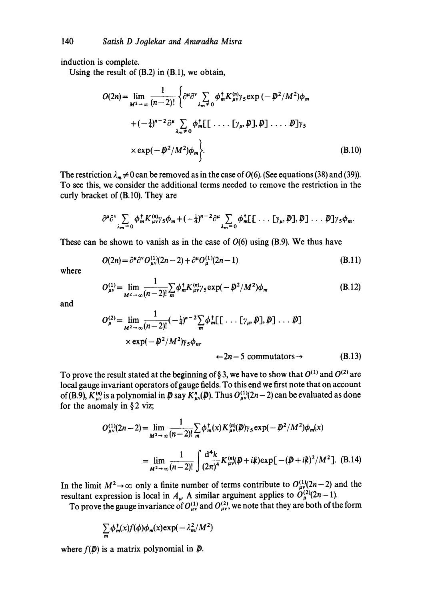induction is complete.

Using the result of (B.2) in (B.1), we obtain,

$$
O(2n) = \lim_{M^2 \to \infty} \frac{1}{(n-2)!} \left\{ \partial^{\mu} \partial^{\nu} \sum_{\lambda_m \neq 0} \phi_m^{\dagger} K_{\mu\nu}^{(n)} \gamma_5 \exp(-\bar{\psi}^2 / M^2) \phi_m \right. + (-\frac{1}{4})^{n-2} \partial^{\mu} \sum_{\lambda_m \neq 0} \phi_m^{\dagger} [ \Gamma \cdots \Gamma \gamma_{\mu}, \bar{\psi} ] , \bar{\psi} ] \cdots \bar{\psi} ] \gamma_5 \times \exp(-\bar{\psi}^2 / M^2) \phi_m \bigg\}.
$$
 (B.10)

The restriction  $\lambda_m \neq 0$  can be removed as in the case of  $O(6)$ . (See equations (38) and (39)). To see this, we consider the additional terms needed to remove the restriction in the curly bracket of (B.10). They are

$$
\frac{\partial^{\mu}\partial^{\nu}}{\partial_{m}=\partial} \phi_{m}^{\dagger}K^{(n)}_{\mu\nu}\gamma_{5}\phi_{m}+(-\frac{1}{4})^{n-2}\partial^{\mu}\sum_{\lambda_{m}=\partial}\phi_{m}^{\dagger}[\ldots[\gamma_{\mu},\mathcal{P}],\mathcal{P}]\ldots\mathcal{P}]\gamma_{5}\phi_{m}.
$$

These can be shown to vanish as in the case of  $O(6)$  using (B.9). We thus have

$$
O(2n) = \partial^{\mu} \partial^{\nu} O_{\mu\nu}^{(1)}(2n-2) + \partial^{\mu} O_{\mu}^{(1)}(2n-1)
$$
 (B.11)

where

$$
O_{\mu\nu}^{(1)} = \lim_{M^2 \to \infty} \frac{1}{(n-2)!} \sum_{m} \phi_m^{\dagger} K_{\mu\nu}^{(n)} \gamma_5 \exp(-D^2/M^2) \phi_m
$$
 (B.12)

and

$$
O_{\mu}^{(2)} = \lim_{M^2 \to \infty} \frac{1}{(n-2)!} (-\frac{1}{4})^{n-2} \sum_{m} \phi_{m}^{\dagger} [ \dots [\gamma_{\mu}, \mathcal{P}], \mathcal{P} ] \dots \mathcal{P} ]
$$
  
× exp $(-\mathcal{P}^2/M^2) \gamma_5 \phi_m$ .  
÷2n-5 commutators→ (B.13)

To prove the result stated at the beginning of § 3, we have to show that  $O^{(1)}$  and  $O^{(2)}$  are local gauge invariant operators of gauge fields. To this end we first note that on account of (B.9),  $K_{\mu\nu}^{(n)}$  is a polynomial in  $\not{\!D}$  say  $K_{\mu\nu}^n(\mathcal{D})$ . Thus  $O_{\mu\nu}^{(1)}(2n-2)$  can be evaluated as done for the anomaly in  $\S 2$  viz;

$$
O_{\mu\nu}^{(1)}(2n-2) = \lim_{M^2 \to \infty} \frac{1}{(n-2)!} \sum_{m} \phi_{m}^{\dagger}(x) K_{\mu\nu}^{(n)}(\boldsymbol{D}) \gamma_5 \exp(-\boldsymbol{D}^2/M^2) \phi_{m}(x)
$$
  
= 
$$
\lim_{M^2 \to \infty} \frac{1}{(n-2)!} \int \frac{d^4k}{(2\pi)^4} K_{\mu\nu}^{(n)}(\boldsymbol{D} + i\boldsymbol{k}) \exp[-(\boldsymbol{D} + i\boldsymbol{k})^2/M^2].
$$
 (B.14)

In the limit  $M^2 \to \infty$  only a finite number of terms contribute to  $O_{\mu\nu}^{(1)}(2n-2)$  and the resultant expression is local in  $A_{\mu}$ . A similar argument applies to  $O_{\mu}^{\prime 2}(2n-1)$ .

To prove the gauge invariance of  $O_{uv}^{(1)}$  and  $O_{uv}^{(2)}$ , we note that they are both of the form

$$
\sum_{m} \phi_{m}^{\dagger}(x) f(\phi) \phi_{m}(x) \exp(-\lambda_{m}^{2}/M^{2})
$$

where  $f(\mathbf{D})$  is a matrix polynomial in  $\mathbf{D}$ .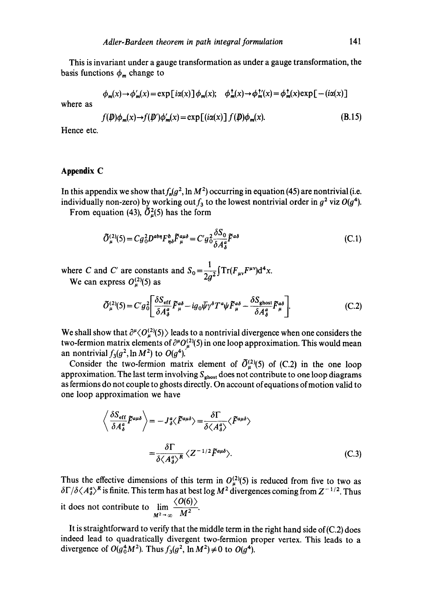This is invariant under a gauge transformation as under a gauge transformation, the basis functions  $\phi_m$  change to

$$
\phi_m(x) \to \phi'_m(x) = \exp[i\alpha(x)] \phi_m(x); \quad \phi_m^+(x) \to \phi_m^+(x) = \phi_m^+(x) \exp[-(i\alpha(x))]
$$

where as

$$
f(\boldsymbol{\psi})\phi_{\boldsymbol{m}}(x)\rightarrow f(\boldsymbol{\psi}')\phi'_{\boldsymbol{m}}(x)=\exp\left[(i\alpha(x))\int f(\boldsymbol{\psi})\phi_{\boldsymbol{m}}(x). \tag{B.15}
$$

Hence etc.

### **Appendix C**

In this appendix we show that  $f_n(g^2, \ln M^2)$  occurring in equation (45) are nontrivial (i.e. individually non-zero) by working out  $f_3$  to the lowest nontrivial order in  $g^2$  viz  $O(g^4)$ .

From equation (43),  $\tilde{O}_u^2(5)$  has the form

$$
\tilde{O}_{\mu}^{(2)}(\mathbf{5}) = C g_0^2 D^{abn} F_{\eta\delta}^b \tilde{F}_{\mu}^{a\mu\delta} = C' g_0^2 \frac{\delta S_0}{\delta A_\delta^a} \tilde{F}^{a\delta} \tag{C.1}
$$

where C and C' are constants and  $S_0 = \frac{1}{2\pi\epsilon} \int Tr(F_{\mu\nu}F^{\mu\nu})d^4x$ . We can express  $O_{\mu}^{(2)}(5)$  as  $2g^2$ 

$$
\tilde{O}_{\mu}^{(2)}(\mathbf{5}) = C' g_0^2 \left[ \frac{\delta S_{\rm eff}}{\delta A_{\delta}^a} \tilde{F}_{\mu}^{a\delta} - ig_0 \bar{\psi} \gamma^{\delta} T^a \psi \tilde{F}_{\mu}^{a\delta} - \frac{\delta S_{\rm ghost}}{\delta A_{\delta}^a} \tilde{F}_{\mu}^{a\delta} \right].
$$
 (C.2)

We shall show that  $\partial^{\mu} \langle O_{\mu}^{(2)}(5) \rangle$  leads to a nontrivial divergence when one considers the two-fermion matrix elements of  $\partial^{\mu}O_{\mu}^{(2)}(5)$  in one loop approximation. This would mean an nontrivial  $f_3(g^2, \ln M^2)$  to  $O(g^4)$ .

Consider the two-fermion matrix element of  $\tilde{O}_{\mu}^{(2)}(5)$  of (C.2) in the one loop approximation. The last term involving  $S_{\text{ghost}}$  does not contribute to one loop diagrams as fermions do not couple to ghosts directly. On account of equations of motion valid to one loop approximation we have

$$
\left\langle \frac{\delta S_{\text{eff}}}{\delta A_{\delta}^{a}} \tilde{F}^{a\mu\delta} \right\rangle = -J_{\delta}^{a} \langle \tilde{F}^{a\mu\delta} \rangle = \frac{\delta \Gamma}{\delta \langle A_{\delta}^{a} \rangle} \langle \tilde{F}^{a\mu\delta} \rangle
$$

$$
= \frac{\delta \Gamma}{\delta \langle A_{\delta}^{a} \rangle^{R}} \langle Z^{-1/2} \tilde{F}^{a\mu\delta} \rangle. \tag{C.3}
$$

Thus the effective dimensions of this term in  $O_{\mu}^{(2)}(5)$  is reduced from five to two as  $\delta\Gamma/\delta\langle A^a_{\delta}\rangle^R$  is finite. This term has at best log  $M^2$  divergences coming from  $Z^{-1/2}$ . Thus it does not contribute to  $\lim_{x \to 0} \frac{\sqrt{6(0)}f}{\sqrt{5}}$  $M^2\rightarrow\infty$   $M^2$ 

It is straightforward to verify that the middle term in the right hand side of(C.2) does indeed lead to quadratically divergent two-fermion proper vertex. This leads to a divergence of  $O(g_0^4M^2)$ . Thus  $f_3(g^2, \ln M^2) \neq 0$  to  $O(g^4)$ .